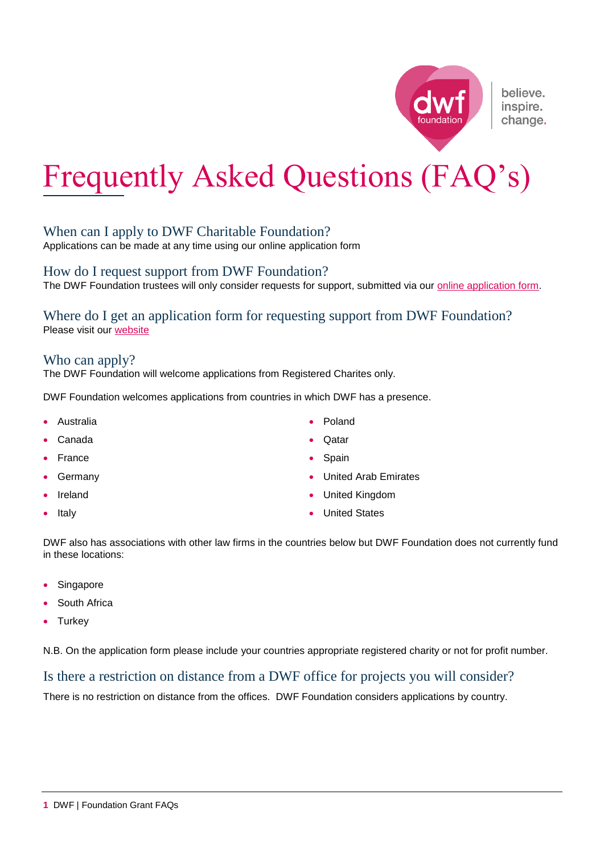# Frequently Asked Questions (FAQ's)

## When can I apply to DWF Charitable Foundation?

Applications can be made at any time using our online application form

How do I request support from DWF Foundation?

The DWF Foundation trustees will only consider requests for support, submitted via our [online application form.](https://dwfgroup.com/en/about-us/dwf-foundation/foundation-application-form)

Where do I get an application form for requesting support from DWF Foundation? Please visit our [website](https://dwfgroup.com/en/about-us/dwf-foundation/foundation-application-form)

## Who can apply?

The DWF Foundation will welcome applications from Registered Charites only.

DWF Foundation welcomes applications from countries in which DWF has a presence.

- Australia
- Canada
- France
- Germany
- Ireland
- Italy

**O**atar

Poland

- Spain
- United Arab Emirates
- United Kingdom
- United States

DWF also has associations with other law firms in the countries below but DWF Foundation does not currently fund in these locations:

- Singapore
- South Africa
- **Turkey**

N.B. On the application form please include your countries appropriate registered charity or not for profit number.

## Is there a restriction on distance from a DWF office for projects you will consider?

There is no restriction on distance from the offices. DWF Foundation considers applications by country.



believe. inspire. change.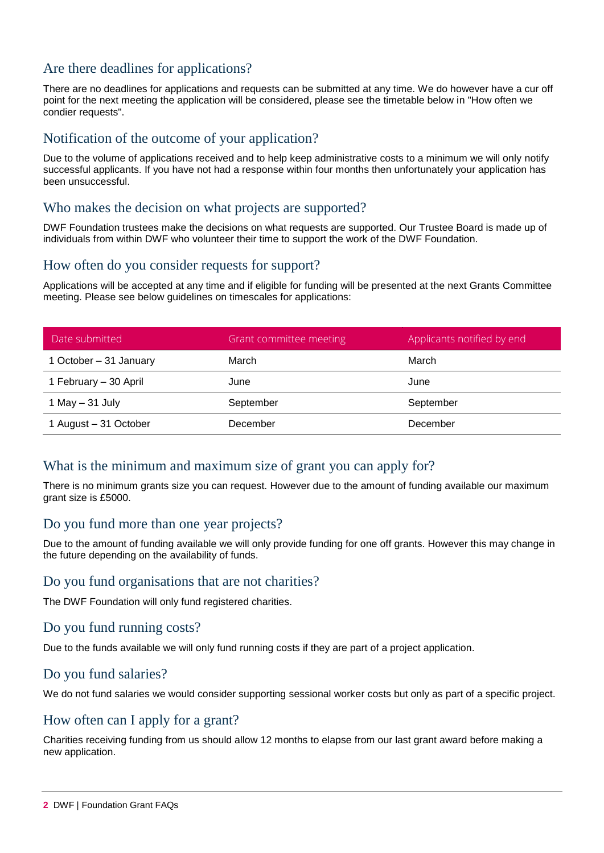## Are there deadlines for applications?

There are no deadlines for applications and requests can be submitted at any time. We do however have a cur off point for the next meeting the application will be considered, please see the timetable below in "How often we condier requests".

## Notification of the outcome of your application?

Due to the volume of applications received and to help keep administrative costs to a minimum we will only notify successful applicants. If you have not had a response within four months then unfortunately your application has been unsuccessful.

## Who makes the decision on what projects are supported?

DWF Foundation trustees make the decisions on what requests are supported. Our Trustee Board is made up of individuals from within DWF who volunteer their time to support the work of the DWF Foundation.

#### How often do you consider requests for support?

Applications will be accepted at any time and if eligible for funding will be presented at the next Grants Committee meeting. Please see below guidelines on timescales for applications:

| Date submitted         | Grant committee meeting | Applicants notified by end |
|------------------------|-------------------------|----------------------------|
| 1 October - 31 January | March                   | March                      |
| 1 February - 30 April  | June                    | June                       |
| 1 May $-$ 31 July      | September               | September                  |
| 1 August - 31 October  | December                | December                   |

## What is the minimum and maximum size of grant you can apply for?

There is no minimum grants size you can request. However due to the amount of funding available our maximum grant size is £5000.

### Do you fund more than one year projects?

Due to the amount of funding available we will only provide funding for one off grants. However this may change in the future depending on the availability of funds.

#### Do you fund organisations that are not charities?

The DWF Foundation will only fund registered charities.

### Do you fund running costs?

Due to the funds available we will only fund running costs if they are part of a project application.

#### Do you fund salaries?

We do not fund salaries we would consider supporting sessional worker costs but only as part of a specific project.

## How often can I apply for a grant?

Charities receiving funding from us should allow 12 months to elapse from our last grant award before making a new application.